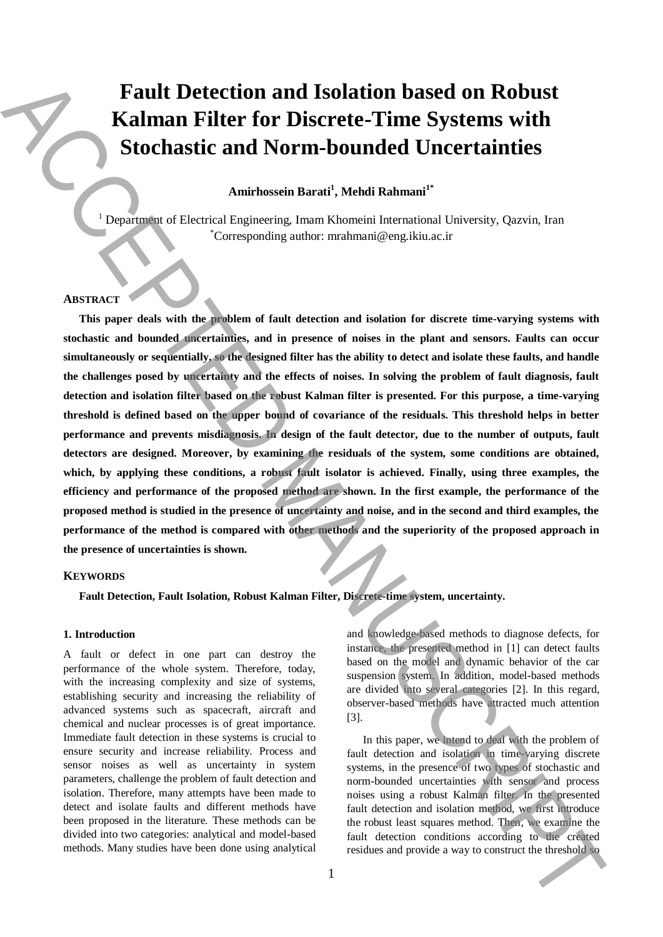# **Fault Detection and Isolation based on Robust Kalman Filter for Discrete-Time Systems with Stochastic and Norm-bounded Uncertainties**

## **Amirhossein Barati<sup>1</sup> , Mehdi Rahmani1\***

<sup>1</sup> Department of Electrical Engineering, Imam Khomeini International University, Qazvin, Iran \*Corresponding author: mrahmani@eng.ikiu.ac.ir

### **ABSTRACT**

**This paper deals with the problem of fault detection and isolation for discrete time-varying systems with stochastic and bounded uncertainties, and in presence of noises in the plant and sensors. Faults can occur simultaneously or sequentially, so the designed filter has the ability to detect and isolate these faults, and handle the challenges posed by uncertainty and the effects of noises. In solving the problem of fault diagnosis, fault detection and isolation filter based on the robust Kalman filter is presented. For this purpose, a time-varying threshold is defined based on the upper bound of covariance of the residuals. This threshold helps in better performance and prevents misdiagnosis. In design of the fault detector, due to the number of outputs, fault detectors are designed. Moreover, by examining the residuals of the system, some conditions are obtained, which, by applying these conditions, a robust fault isolator is achieved. Finally, using three examples, the efficiency and performance of the proposed method are shown. In the first example, the performance of the proposed method is studied in the presence of uncertainty and noise, and in the second and third examples, the performance of the method is compared with other methods and the superiority of the proposed approach in the presence of uncertainties is shown. Fault Detection and Isolation based on Robust Kallman Filter for Discrete-Time Systems with<br>
Stochastic and Norm-Sounded Uncertainties<br>
Stochastic the Nostranic Baralystan (Manuscrite and Sound Raband"<br>
Constructed and S** 

### **KEYWORDS**

**Fault Detection, Fault Isolation, Robust Kalman Filter, Discrete-time system, uncertainty.**

#### **1. Introduction**

A fault or defect in one part can destroy the performance of the whole system. Therefore, today, with the increasing complexity and size of systems, establishing security and increasing the reliability of advanced systems such as spacecraft, aircraft and chemical and nuclear processes is of great importance. Immediate fault detection in these systems is crucial to ensure security and increase reliability. Process and sensor noises as well as uncertainty in system parameters, challenge the problem of fault detection and isolation. Therefore, many attempts have been made to detect and isolate faults and different methods have been proposed in the literature. These methods can be divided into two categories: analytical and model-based methods. Many studies have been done using analytical

and knowledge-based methods to diagnose defects, for instance, the presented method in [1] can detect faults based on the model and dynamic behavior of the car suspension system. In addition, model-based methods are divided into several categories [2]. In this regard, observer-based methods have attracted much attention [3].

In this paper, we intend to deal with the problem of fault detection and isolation in time-varying discrete systems, in the presence of two types of stochastic and norm-bounded uncertainties with sensor and process noises using a robust Kalman filter. In the presented fault detection and isolation method, we first introduce the robust least squares method. Then, we examine the fault detection conditions according to the created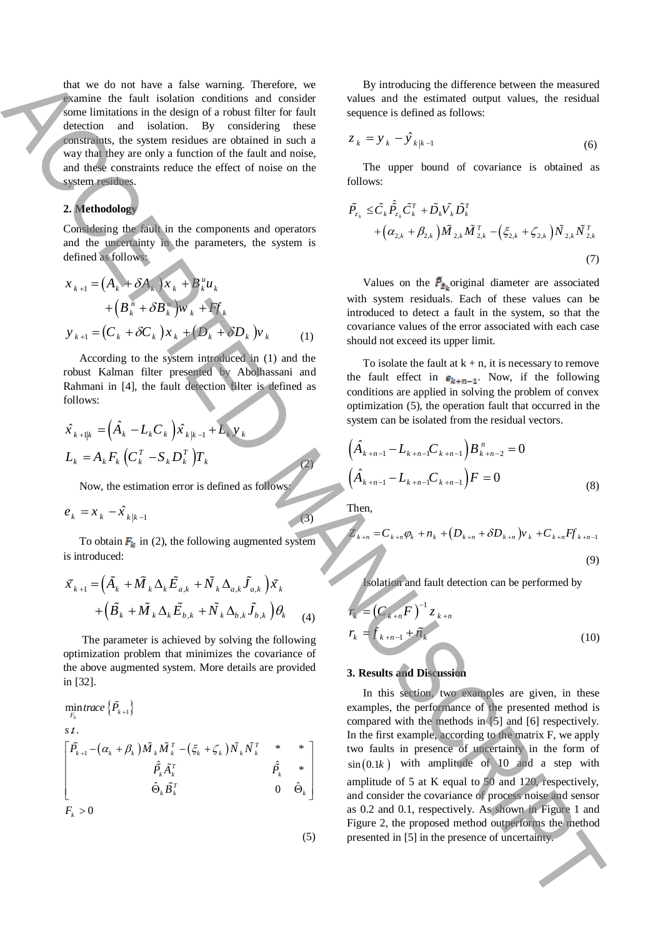that we do not have a false warning. Therefore, we examine the fault isolation conditions and consider some limitations in the design of a robust filter for fault detection and isolation. By considering these constraints, the system residues are obtained in such a way that they are only a function of the fault and noise, and these constraints reduce the effect of noise on the system residues.

#### **2. Methodology**

Considering the fault in the components and operators and the uncertainty in the parameters, the system is defined as follows:

$$
x_{k+1} = (A_k + \delta A_k)x_k + B_k^u u_k
$$
  
+ 
$$
(B_k^m + \delta B_k^w)w_k + Ff_k
$$
  

$$
y_{k+1} = (C_k + \delta C_k)x_k + (D_k + \delta D_k)v_k
$$
 (1)

According to the system introduced in (1) and the robust Kalman filter presented by Abolhassani and Rahmani in [4], the fault detection filter is defined as follows:

$$
\hat{x}_{k+1|k} = (\hat{A}_k - L_k C_k) \hat{x}_{k|k-1} + L_k y_k
$$
  

$$
L_k = A_k F_k (C_k^T - S_k D_k^T) T_k
$$

Now, the estimation error is defined as follows:

$$
e_k = x_k - \hat{x}_{k|k-1}
$$

To obtain  $F_k$  in (2), the following augmented system is introduced:

$$
\tilde{X}_{k+1} = \left(\tilde{A}_k + \tilde{M}_k \Delta_k \tilde{E}_{a,k} + \tilde{N}_k \Delta_{a,k} \tilde{J}_{a,k}\right) \tilde{X}_k \n+ \left(\tilde{B}_k + \tilde{M}_k \Delta_k \tilde{E}_{b,k} + \tilde{N}_k \Delta_{b,k} \tilde{J}_{b,k}\right) \theta_k
$$
\n(4)

The parameter is achieved by solving the following optimization problem that minimizes the covariance of the above augmented system. More details are provided in [32].

 $\min_{F_k} trace\left\{\tilde{P_{_{k+1}}}\right\}$  $\tilde{M}_{1}^{-1} \left( \alpha_{k}+\beta_{k}\right) \tilde{M}_{k} \tilde{M}_{k}^{T} -\left(\tilde{\zeta}_{k}+\tilde{\zeta}_{k}\right) \tilde{N}_{k} \tilde{N}_{k}^{T} \quad \ast \quad \ast$  $s$   $t$  .  $\begin{array}{ccc} \hat{P}_k \tilde{A}_k^T & & \hat{P}_k & * \ \hat{\Theta}_\cdot \tilde{B}_\cdot^T & & 0 & \hat{\Theta}_\cdot \end{array}$  $F_{k} > 0$  $\tilde{M}_{k+1} - (a_k + \beta_k) \tilde{M}_{k} \tilde{M}_{k}^{T} - (\xi_k + \zeta_k) \tilde{N}_{k} \tilde{N}_{k}^{T}$  $P_k A_k^T$  and  $P_k$  $\overline{B}_k^T$  **b**  $\overline{\Theta}_k$  $P_{i,j}$  –  $(\alpha_i + \beta_i)M$ ,  $M_i^+$  –  $(\xi_i + \zeta_i)N$ ,  $N$ *P.A. P. B*  $\left\lceil {\widetilde P_{_{k+1}}\! -\! \left( {\alpha_{_k}+\beta_{_k}} \right)\! \widetilde M_{_k} \widetilde M_{_k}^{\, T} \right. -\! \left. \left( {\xi_{_k}+\zeta_{_k}} \right)\! \widetilde N_{_k} \widetilde N_{_k}^{\, T} \quad \overset{*}{\quad \quad } \quad \quad ^{*} \quad \right\rceil$  $\Theta_k B_k^T$  and  $\Theta_k$ 

By introducing the difference between the measured values and the estimated output values, the residual sequence is defined as follows:

$$
z_k = y_k - \hat{y}_{k|k-1} \tag{6}
$$

The upper bound of covariance is obtained as follows:

$$
\tilde{P}_{\tilde{z}_k} \leq \tilde{C}_k \tilde{P}_{\tilde{z}_k} \tilde{C}_k^T + \tilde{D}_k \tilde{V}_k \tilde{D}_k^T + \left(\alpha_{2,k} + \beta_{2,k}\right) \tilde{M}_{2,k} \tilde{M}_{2,k}^T - \left(\xi_{2,k} + \zeta_{2,k}\right) \tilde{N}_{2,k} \tilde{N}_{2,k}^T
$$
\n
$$
(7)
$$

Values on the  $P_{\bar{z}_k}$  original diameter are associated with system residuals. Each of these values can be introduced to detect a fault in the system, so that the covariance values of the error associated with each case should not exceed its upper limit.

To isolate the fault at  $k + n$ , it is necessary to remove the fault effect in  $e_{k+n-1}$ . Now, if the following conditions are applied in solving the problem of convex optimization (5), the operation fault that occurred in the system can be isolated from the residual vectors.

$$
\left(\hat{A}_{k+n-1} - L_{k+n-1}C_{k+n-1}\right)B_{k+n-2}^{n} = 0
$$
\n
$$
\left(\hat{A}_{k+n-1} - L_{k+n-1}C_{k+n-1}\right)F = 0
$$
\n(8)

Then,

(2)

(3)

(5)

$$
Z_{k+n} = C_{k+n} \varphi_k + n_k + (D_{k+n} + \delta D_{k+n}) v_k + C_{k+n} F f_{k+n-1}
$$
\n(9)

Isolation and fault detection can be performed by

$$
r_{k} = (C_{k+n}F)^{-1} z_{k+n}
$$
  
\n
$$
r_{k} = f_{k+n-1} + \tilde{n}_{k}
$$
 (10)

## **3. Results and Discussion**

In this section, two examples are given, in these examples, the performance of the presented method is compared with the methods in [5] and [6] respectively. In the first example, according to the matrix F, we apply two faults in presence of uncertainty in the form of  $sin(0.1k)$  with amplitude of 10 and a step with amplitude of 5 at K equal to 50 and 120, respectively, and consider the covariance of process noise and sensor as 0.2 and 0.1, respectively. As shown in Figure 1 and Figure 2, the proposed method outperforms the method State for the R in the signature of the signature of the signature of the signature in the signature of the signature of the signature of the signature of the signature of the signature of the signature of the signature o